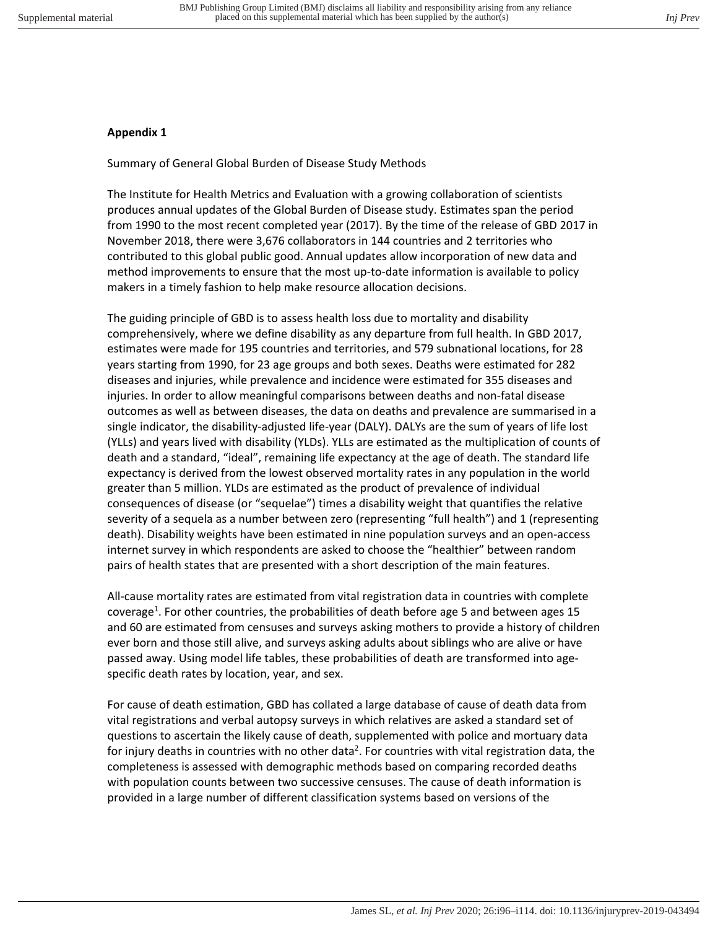## **Appendix 1**

Summary of General Global Burden of Disease Study Methods

The Institute for Health Metrics and Evaluation with a growing collaboration of scientists produces annual updates of the Global Burden of Disease study. Estimates span the period from 1990 to the most recent completed year (2017). By the time of the release of GBD 2017 in November 2018, there were 3,676 collaborators in 144 countries and 2 territories who contributed to this global public good. Annual updates allow incorporation of new data and method improvements to ensure that the most up-to-date information is available to policy makers in a timely fashion to help make resource allocation decisions.

The guiding principle of GBD is to assess health loss due to mortality and disability comprehensively, where we define disability as any departure from full health. In GBD 2017, estimates were made for 195 countries and territories, and 579 subnational locations, for 28 years starting from 1990, for 23 age groups and both sexes. Deaths were estimated for 282 diseases and injuries, while prevalence and incidence were estimated for 355 diseases and injuries. In order to allow meaningful comparisons between deaths and non-fatal disease outcomes as well as between diseases, the data on deaths and prevalence are summarised in a single indicator, the disability-adjusted life-year (DALY). DALYs are the sum of years of life lost (YLLs) and years lived with disability (YLDs). YLLs are estimated as the multiplication of counts of death and a standard, "ideal", remaining life expectancy at the age of death. The standard life expectancy is derived from the lowest observed mortality rates in any population in the world greater than 5 million. YLDs are estimated as the product of prevalence of individual consequences of disease (or "sequelae") times a disability weight that quantifies the relative severity of a sequela as a number between zero (representing "full health") and 1 (representing death). Disability weights have been estimated in nine population surveys and an open-access internet survey in which respondents are asked to choose the "healthier" between random pairs of health states that are presented with a short description of the main features.

All-cause mortality rates are estimated from vital registration data in countries with complete coverage<sup>1</sup>. For other countries, the probabilities of death before age 5 and between ages 15 and 60 are estimated from censuses and surveys asking mothers to provide a history of children ever born and those still alive, and surveys asking adults about siblings who are alive or have passed away. Using model life tables, these probabilities of death are transformed into agespecific death rates by location, year, and sex.

For cause of death estimation, GBD has collated a large database of cause of death data from vital registrations and verbal autopsy surveys in which relatives are asked a standard set of questions to ascertain the likely cause of death, supplemented with police and mortuary data for injury deaths in countries with no other data<sup>2</sup>. For countries with vital registration data, the completeness is assessed with demographic methods based on comparing recorded deaths with population counts between two successive censuses. The cause of death information is provided in a large number of different classification systems based on versions of the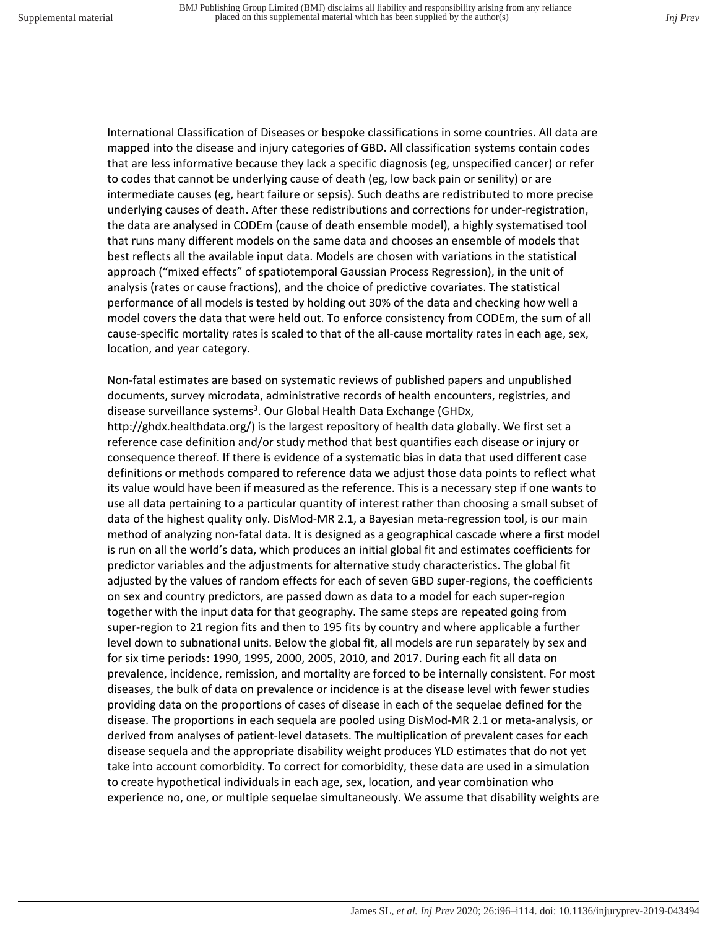International Classification of Diseases or bespoke classifications in some countries. All data are mapped into the disease and injury categories of GBD. All classification systems contain codes that are less informative because they lack a specific diagnosis (eg, unspecified cancer) or refer to codes that cannot be underlying cause of death (eg, low back pain or senility) or are intermediate causes (eg, heart failure or sepsis). Such deaths are redistributed to more precise underlying causes of death. After these redistributions and corrections for under-registration, the data are analysed in CODEm (cause of death ensemble model), a highly systematised tool that runs many different models on the same data and chooses an ensemble of models that best reflects all the available input data. Models are chosen with variations in the statistical approach ("mixed effects" of spatiotemporal Gaussian Process Regression), in the unit of analysis (rates or cause fractions), and the choice of predictive covariates. The statistical performance of all models is tested by holding out 30% of the data and checking how well a model covers the data that were held out. To enforce consistency from CODEm, the sum of all cause-specific mortality rates is scaled to that of the all-cause mortality rates in each age, sex, location, and year category.

Non-fatal estimates are based on systematic reviews of published papers and unpublished documents, survey microdata, administrative records of health encounters, registries, and disease surveillance systems<sup>3</sup>. Our Global Health Data Exchange (GHDx,

http://ghdx.healthdata.org/) is the largest repository of health data globally. We first set a reference case definition and/or study method that best quantifies each disease or injury or consequence thereof. If there is evidence of a systematic bias in data that used different case definitions or methods compared to reference data we adjust those data points to reflect what its value would have been if measured as the reference. This is a necessary step if one wants to use all data pertaining to a particular quantity of interest rather than choosing a small subset of data of the highest quality only. DisMod-MR 2.1, a Bayesian meta-regression tool, is our main method of analyzing non-fatal data. It is designed as a geographical cascade where a first model is run on all the world's data, which produces an initial global fit and estimates coefficients for predictor variables and the adjustments for alternative study characteristics. The global fit adjusted by the values of random effects for each of seven GBD super-regions, the coefficients on sex and country predictors, are passed down as data to a model for each super-region together with the input data for that geography. The same steps are repeated going from super-region to 21 region fits and then to 195 fits by country and where applicable a further level down to subnational units. Below the global fit, all models are run separately by sex and for six time periods: 1990, 1995, 2000, 2005, 2010, and 2017. During each fit all data on prevalence, incidence, remission, and mortality are forced to be internally consistent. For most diseases, the bulk of data on prevalence or incidence is at the disease level with fewer studies providing data on the proportions of cases of disease in each of the sequelae defined for the disease. The proportions in each sequela are pooled using DisMod-MR 2.1 or meta-analysis, or derived from analyses of patient-level datasets. The multiplication of prevalent cases for each disease sequela and the appropriate disability weight produces YLD estimates that do not yet take into account comorbidity. To correct for comorbidity, these data are used in a simulation to create hypothetical individuals in each age, sex, location, and year combination who experience no, one, or multiple sequelae simultaneously. We assume that disability weights are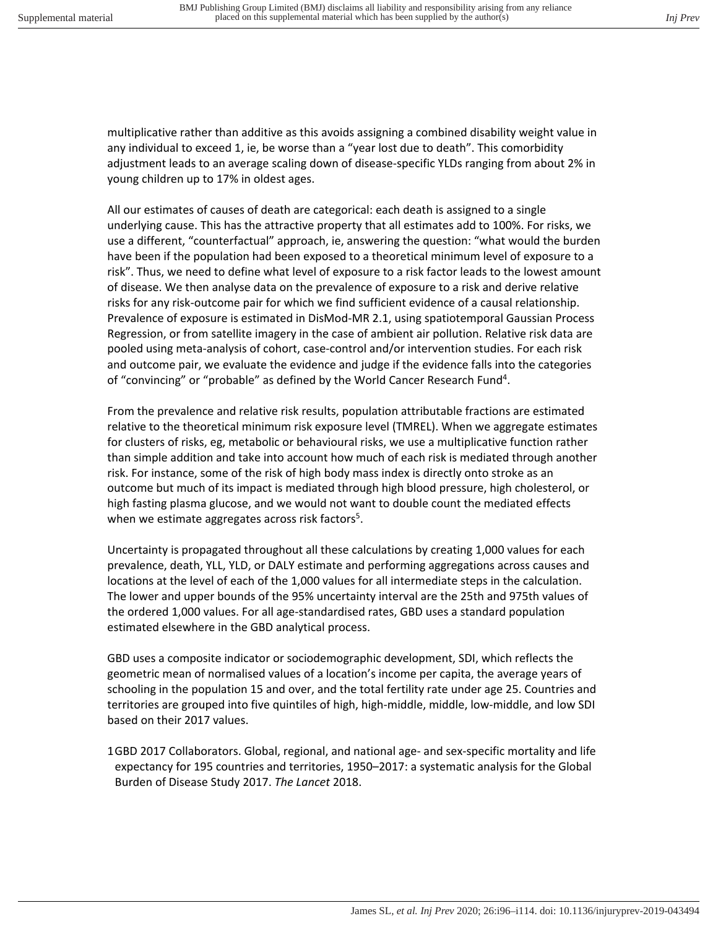multiplicative rather than additive as this avoids assigning a combined disability weight value in any individual to exceed 1, ie, be worse than a "year lost due to death". This comorbidity adjustment leads to an average scaling down of disease-specific YLDs ranging from about 2% in young children up to 17% in oldest ages.

All our estimates of causes of death are categorical: each death is assigned to a single underlying cause. This has the attractive property that all estimates add to 100%. For risks, we use a different, "counterfactual" approach, ie, answering the question: "what would the burden have been if the population had been exposed to a theoretical minimum level of exposure to a risk". Thus, we need to define what level of exposure to a risk factor leads to the lowest amount of disease. We then analyse data on the prevalence of exposure to a risk and derive relative risks for any risk-outcome pair for which we find sufficient evidence of a causal relationship. Prevalence of exposure is estimated in DisMod-MR 2.1, using spatiotemporal Gaussian Process Regression, or from satellite imagery in the case of ambient air pollution. Relative risk data are pooled using meta-analysis of cohort, case-control and/or intervention studies. For each risk and outcome pair, we evaluate the evidence and judge if the evidence falls into the categories of "convincing" or "probable" as defined by the World Cancer Research Fund<sup>4</sup>.

From the prevalence and relative risk results, population attributable fractions are estimated relative to the theoretical minimum risk exposure level (TMREL). When we aggregate estimates for clusters of risks, eg, metabolic or behavioural risks, we use a multiplicative function rather than simple addition and take into account how much of each risk is mediated through another risk. For instance, some of the risk of high body mass index is directly onto stroke as an outcome but much of its impact is mediated through high blood pressure, high cholesterol, or high fasting plasma glucose, and we would not want to double count the mediated effects when we estimate aggregates across risk factors<sup>5</sup>.

Uncertainty is propagated throughout all these calculations by creating 1,000 values for each prevalence, death, YLL, YLD, or DALY estimate and performing aggregations across causes and locations at the level of each of the 1,000 values for all intermediate steps in the calculation. The lower and upper bounds of the 95% uncertainty interval are the 25th and 975th values of the ordered 1,000 values. For all age-standardised rates, GBD uses a standard population estimated elsewhere in the GBD analytical process.

GBD uses a composite indicator or sociodemographic development, SDI, which reflects the geometric mean of normalised values of a location's income per capita, the average years of schooling in the population 15 and over, and the total fertility rate under age 25. Countries and territories are grouped into five quintiles of high, high-middle, middle, low-middle, and low SDI based on their 2017 values.

1 GBD 2017 Collaborators. Global, regional, and national age- and sex-specific mortality and life expectancy for 195 countries and territories, 1950–2017: a systematic analysis for the Global Burden of Disease Study 2017. *The Lancet* 2018.